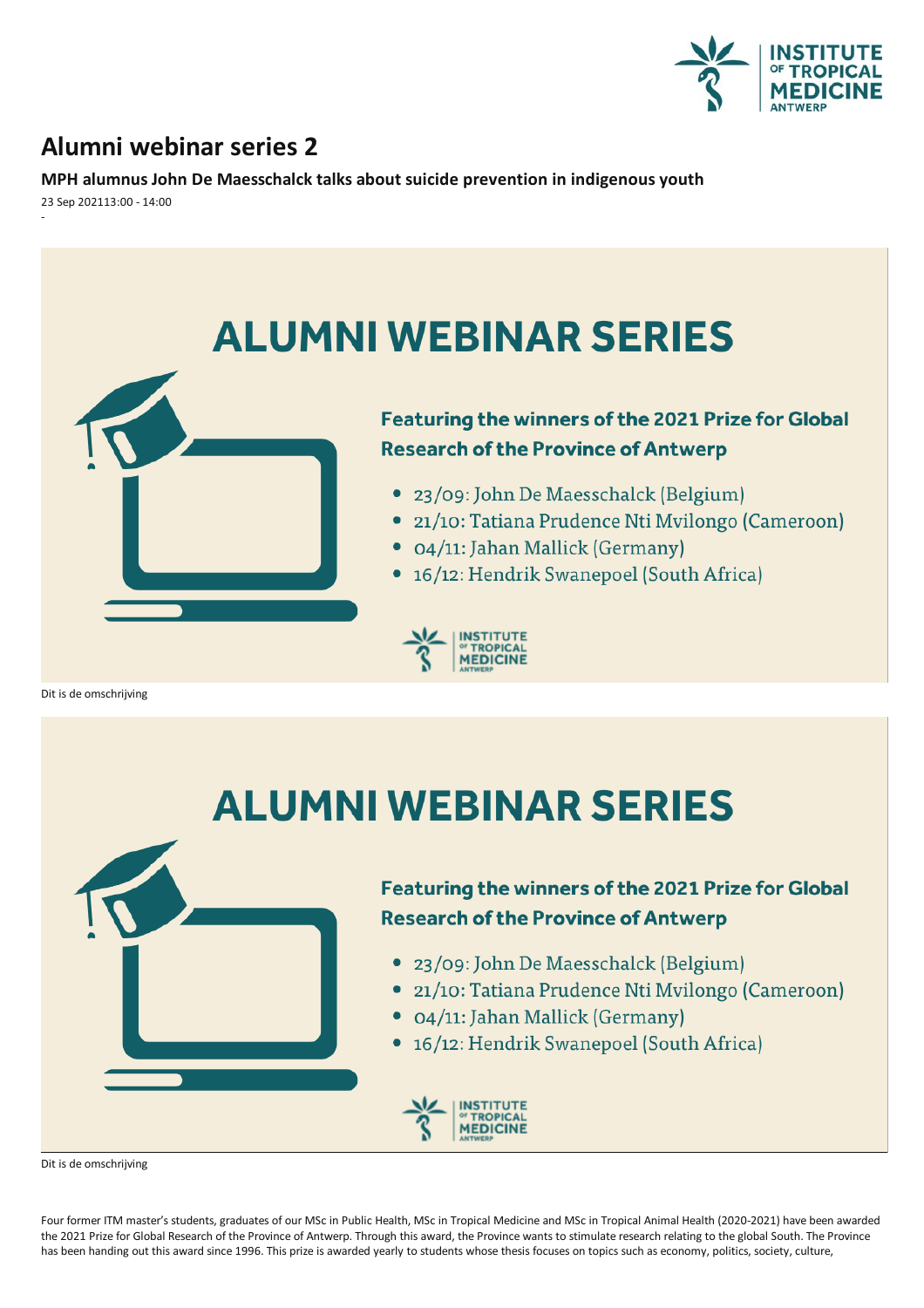

## **Alumni webinar series 2**

**MPH alumnus John De Maesschalcktalks about suicide prevention in indigenousyouth**

23 Sep 202113:00 - 14:00 -



# **ALUMNI WEBINAR SERIES**



## **Featuring the winners of the 2021 Prize for Global Research of the Province of Antwerp**

- 23/09: John De Maesschalck (Belgium)
- 21/10: Tatiana Prudence Nti Mvilongo (Cameroon)
- 04/11: Jahan Mallick (Germany)
- 16/12: Hendrik Swanepoel (South Africa)



Dit is de omschrijving

Four former ITM master's students, graduates of our MSc in Public Health, MSc in Tropical Medicine and MSc in Tropical Animal Health (2020-2021) have been awarded the 2021 Prize for Global Research of the Province of Antwerp. Through this award, the Province wants to stimulate research relating to the global South. The Province has been handing out this award since 1996. This prize is awarded yearly to students whose thesis focuses on topics such as economy, politics, society, culture,